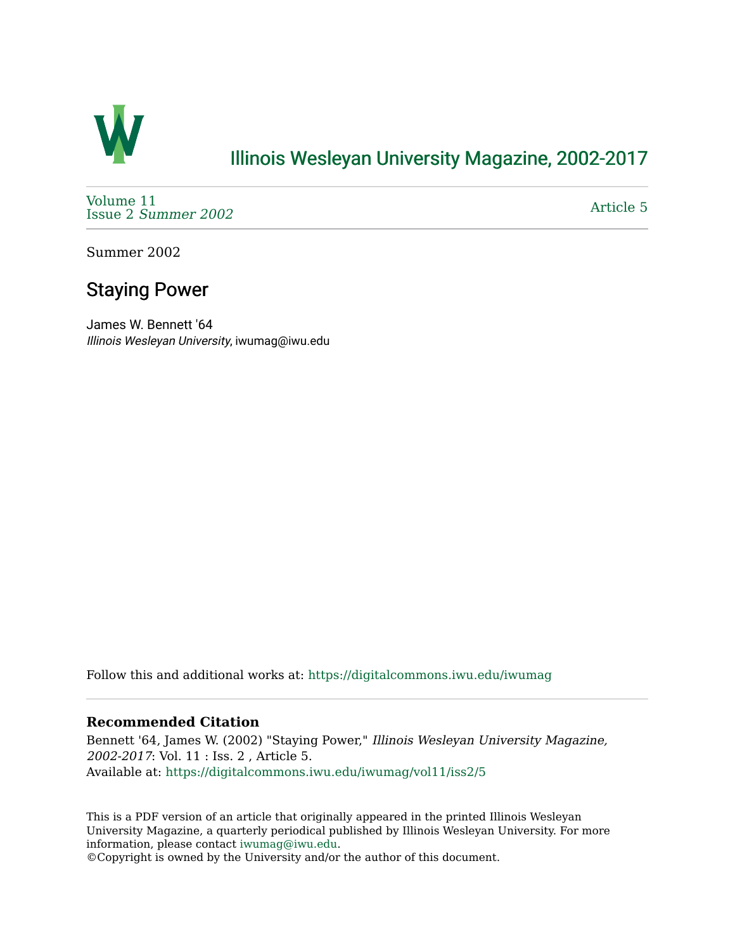

## [Illinois Wesleyan University Magazine, 2002-2017](https://digitalcommons.iwu.edu/iwumag)

[Volume 11](https://digitalcommons.iwu.edu/iwumag/vol11)  Issue 2 [Summer 2002](https://digitalcommons.iwu.edu/iwumag/vol11/iss2) 

[Article 5](https://digitalcommons.iwu.edu/iwumag/vol11/iss2/5) 

Summer 2002

# Staying Power

James W. Bennett '64 Illinois Wesleyan University, iwumag@iwu.edu

Follow this and additional works at: [https://digitalcommons.iwu.edu/iwumag](https://digitalcommons.iwu.edu/iwumag?utm_source=digitalcommons.iwu.edu%2Fiwumag%2Fvol11%2Fiss2%2F5&utm_medium=PDF&utm_campaign=PDFCoverPages) 

### **Recommended Citation**

Bennett '64, James W. (2002) "Staying Power," Illinois Wesleyan University Magazine, 2002-2017: Vol. 11 : Iss. 2 , Article 5. Available at: [https://digitalcommons.iwu.edu/iwumag/vol11/iss2/5](https://digitalcommons.iwu.edu/iwumag/vol11/iss2/5?utm_source=digitalcommons.iwu.edu%2Fiwumag%2Fvol11%2Fiss2%2F5&utm_medium=PDF&utm_campaign=PDFCoverPages)

This is a PDF version of an article that originally appeared in the printed Illinois Wesleyan University Magazine, a quarterly periodical published by Illinois Wesleyan University. For more information, please contact [iwumag@iwu.edu](mailto:iwumag@iwu.edu).

©Copyright is owned by the University and/or the author of this document.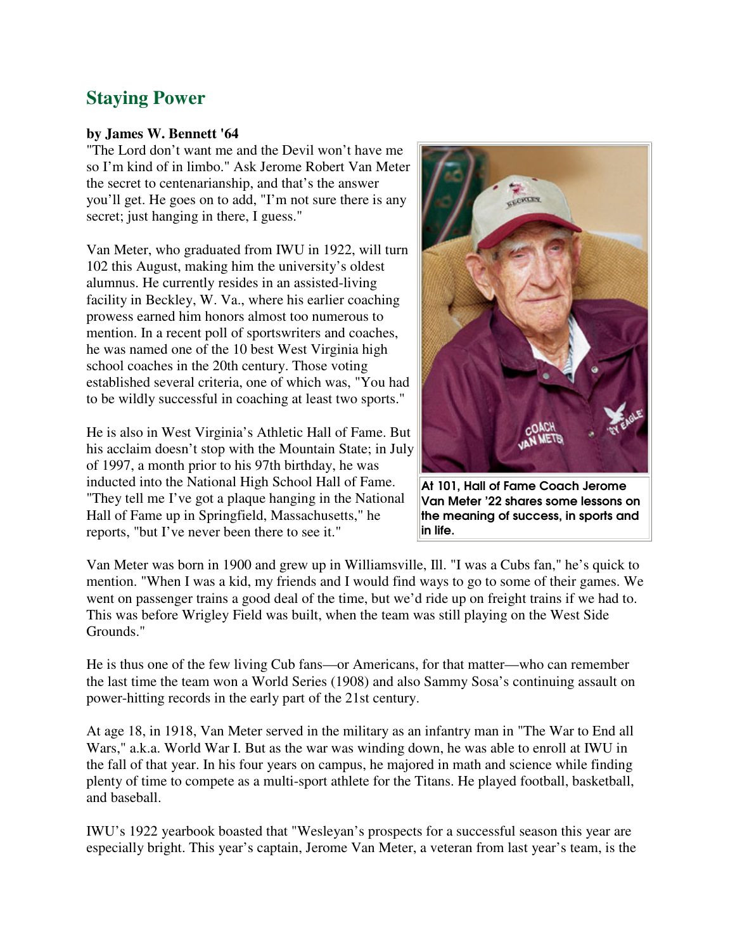## **Staying Power**

#### **by James W. Bennett '64**

"The Lord don't want me and the Devil won't have me so I'm kind of in limbo." Ask Jerome Robert Van Meter the secret to centenarianship, and that's the answer you'll get. He goes on to add, "I'm not sure there is any secret; just hanging in there, I guess."

Van Meter, who graduated from IWU in 1922, will turn 102 this August, making him the university's oldest alumnus. He currently resides in an assisted-living facility in Beckley, W. Va., where his earlier coaching prowess earned him honors almost too numerous to mention. In a recent poll of sportswriters and coaches, he was named one of the 10 best West Virginia high school coaches in the 20th century. Those voting established several criteria, one of which was, "You had to be wildly successful in coaching at least two sports."

He is also in West Virginia's Athletic Hall of Fame. But his acclaim doesn't stop with the Mountain State; in July of 1997, a month prior to his 97th birthday, he was inducted into the National High School Hall of Fame. "They tell me I've got a plaque hanging in the National Hall of Fame up in Springfield, Massachusetts," he reports, "but I've never been there to see it."



At 101, Hall of Fame Coach Jerome Van Meter '22 shares some lessons on the meaning of success, in sports and in life.

Van Meter was born in 1900 and grew up in Williamsville, Ill. "I was a Cubs fan," he's quick to mention. "When I was a kid, my friends and I would find ways to go to some of their games. We went on passenger trains a good deal of the time, but we'd ride up on freight trains if we had to. This was before Wrigley Field was built, when the team was still playing on the West Side Grounds."

He is thus one of the few living Cub fans—or Americans, for that matter—who can remember the last time the team won a World Series (1908) and also Sammy Sosa's continuing assault on power-hitting records in the early part of the 21st century.

At age 18, in 1918, Van Meter served in the military as an infantry man in "The War to End all Wars," a.k.a. World War I. But as the war was winding down, he was able to enroll at IWU in the fall of that year. In his four years on campus, he majored in math and science while finding plenty of time to compete as a multi-sport athlete for the Titans. He played football, basketball, and baseball.

IWU's 1922 yearbook boasted that "Wesleyan's prospects for a successful season this year are especially bright. This year's captain, Jerome Van Meter, a veteran from last year's team, is the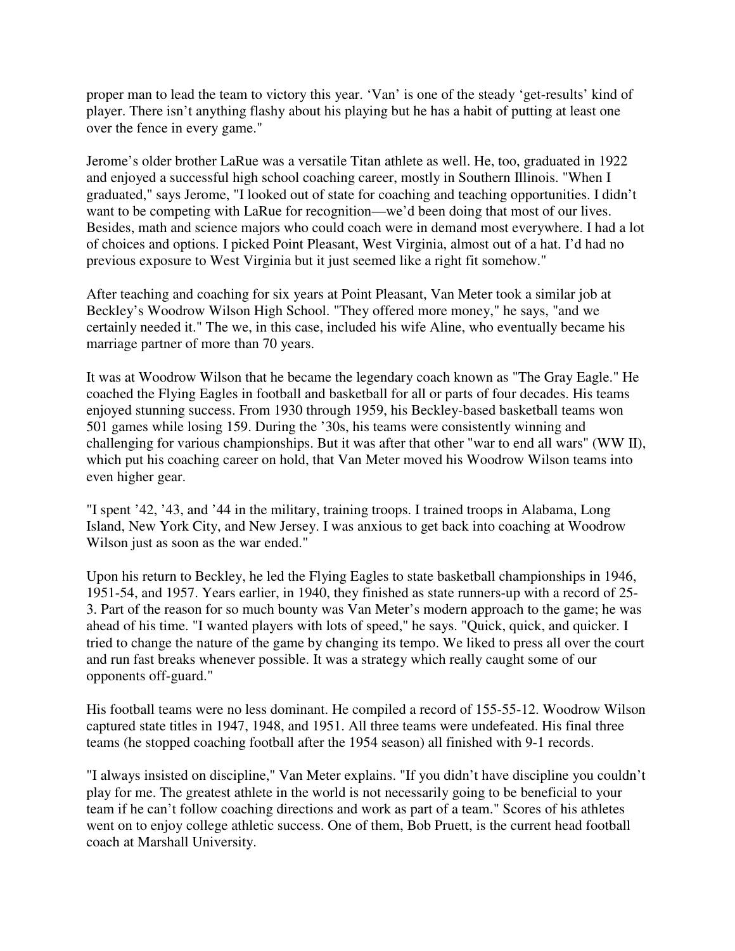proper man to lead the team to victory this year. 'Van' is one of the steady 'get-results' kind of player. There isn't anything flashy about his playing but he has a habit of putting at least one over the fence in every game."

Jerome's older brother LaRue was a versatile Titan athlete as well. He, too, graduated in 1922 and enjoyed a successful high school coaching career, mostly in Southern Illinois. "When I graduated," says Jerome, "I looked out of state for coaching and teaching opportunities. I didn't want to be competing with LaRue for recognition—we'd been doing that most of our lives. Besides, math and science majors who could coach were in demand most everywhere. I had a lot of choices and options. I picked Point Pleasant, West Virginia, almost out of a hat. I'd had no previous exposure to West Virginia but it just seemed like a right fit somehow."

After teaching and coaching for six years at Point Pleasant, Van Meter took a similar job at Beckley's Woodrow Wilson High School. "They offered more money," he says, "and we certainly needed it." The we, in this case, included his wife Aline, who eventually became his marriage partner of more than 70 years.

It was at Woodrow Wilson that he became the legendary coach known as "The Gray Eagle." He coached the Flying Eagles in football and basketball for all or parts of four decades. His teams enjoyed stunning success. From 1930 through 1959, his Beckley-based basketball teams won 501 games while losing 159. During the '30s, his teams were consistently winning and challenging for various championships. But it was after that other "war to end all wars" (WW II), which put his coaching career on hold, that Van Meter moved his Woodrow Wilson teams into even higher gear.

"I spent '42, '43, and '44 in the military, training troops. I trained troops in Alabama, Long Island, New York City, and New Jersey. I was anxious to get back into coaching at Woodrow Wilson just as soon as the war ended."

Upon his return to Beckley, he led the Flying Eagles to state basketball championships in 1946, 1951-54, and 1957. Years earlier, in 1940, they finished as state runners-up with a record of 25- 3. Part of the reason for so much bounty was Van Meter's modern approach to the game; he was ahead of his time. "I wanted players with lots of speed," he says. "Quick, quick, and quicker. I tried to change the nature of the game by changing its tempo. We liked to press all over the court and run fast breaks whenever possible. It was a strategy which really caught some of our opponents off-guard."

His football teams were no less dominant. He compiled a record of 155-55-12. Woodrow Wilson captured state titles in 1947, 1948, and 1951. All three teams were undefeated. His final three teams (he stopped coaching football after the 1954 season) all finished with 9-1 records.

"I always insisted on discipline," Van Meter explains. "If you didn't have discipline you couldn't play for me. The greatest athlete in the world is not necessarily going to be beneficial to your team if he can't follow coaching directions and work as part of a team." Scores of his athletes went on to enjoy college athletic success. One of them, Bob Pruett, is the current head football coach at Marshall University.